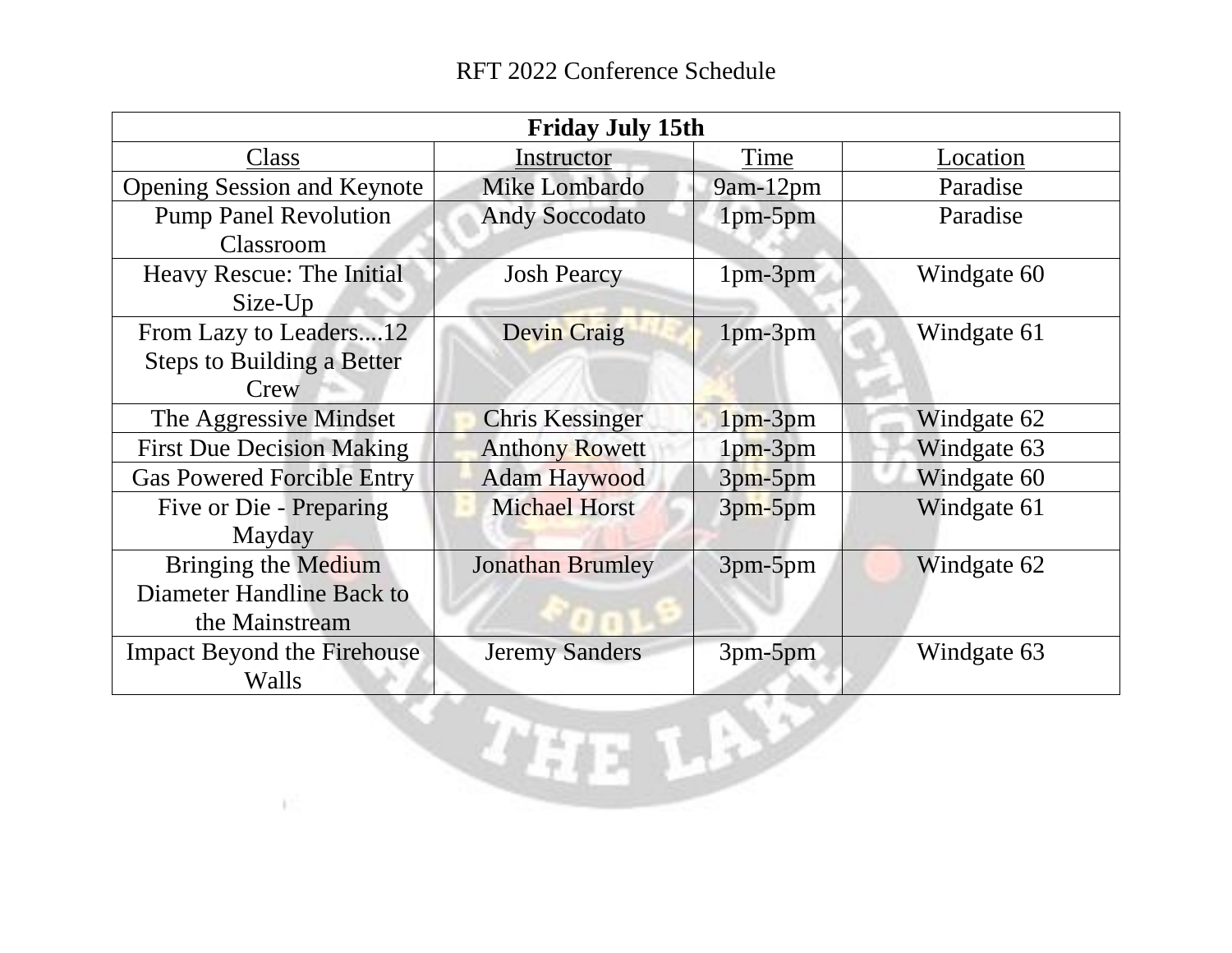| <b>Friday July 15th</b>                                             |                         |            |             |  |  |
|---------------------------------------------------------------------|-------------------------|------------|-------------|--|--|
| Class                                                               | Instructor              | Time       | Location    |  |  |
| <b>Opening Session and Keynote</b>                                  | Mike Lombardo           | 9am-12pm   | Paradise    |  |  |
| <b>Pump Panel Revolution</b><br>Classroom                           | <b>Andy Soccodato</b>   | 1pm-5pm    | Paradise    |  |  |
| Heavy Rescue: The Initial<br>Size-Up                                | <b>Josh Pearcy</b>      | $1pm-3pm$  | Windgate 60 |  |  |
| From Lazy to Leaders12<br><b>Steps to Building a Better</b><br>Crew | <b>Devin Craig</b>      | 1pm-3pm    | Windgate 61 |  |  |
| The Aggressive Mindset                                              | <b>Chris Kessinger</b>  | $1pm-3pm$  | Windgate 62 |  |  |
| <b>First Due Decision Making</b>                                    | <b>Anthony Rowett</b>   | $1pm-3pm$  | Windgate 63 |  |  |
| <b>Gas Powered Forcible Entry</b>                                   | <b>Adam Haywood</b>     | $3pm-5pm$  | Windgate 60 |  |  |
| Five or Die - Preparing<br>Mayday                                   | <b>Michael Horst</b>    | $3pm$ -5pm | Windgate 61 |  |  |
| Bringing the Medium<br>Diameter Handline Back to<br>the Mainstream  | <b>Jonathan Brumley</b> | 3pm-5pm    | Windgate 62 |  |  |
| <b>Impact Beyond the Firehouse</b><br>Walls                         | <b>Jeremy Sanders</b>   | 3pm-5pm    | Windgate 63 |  |  |
|                                                                     |                         |            |             |  |  |

**A**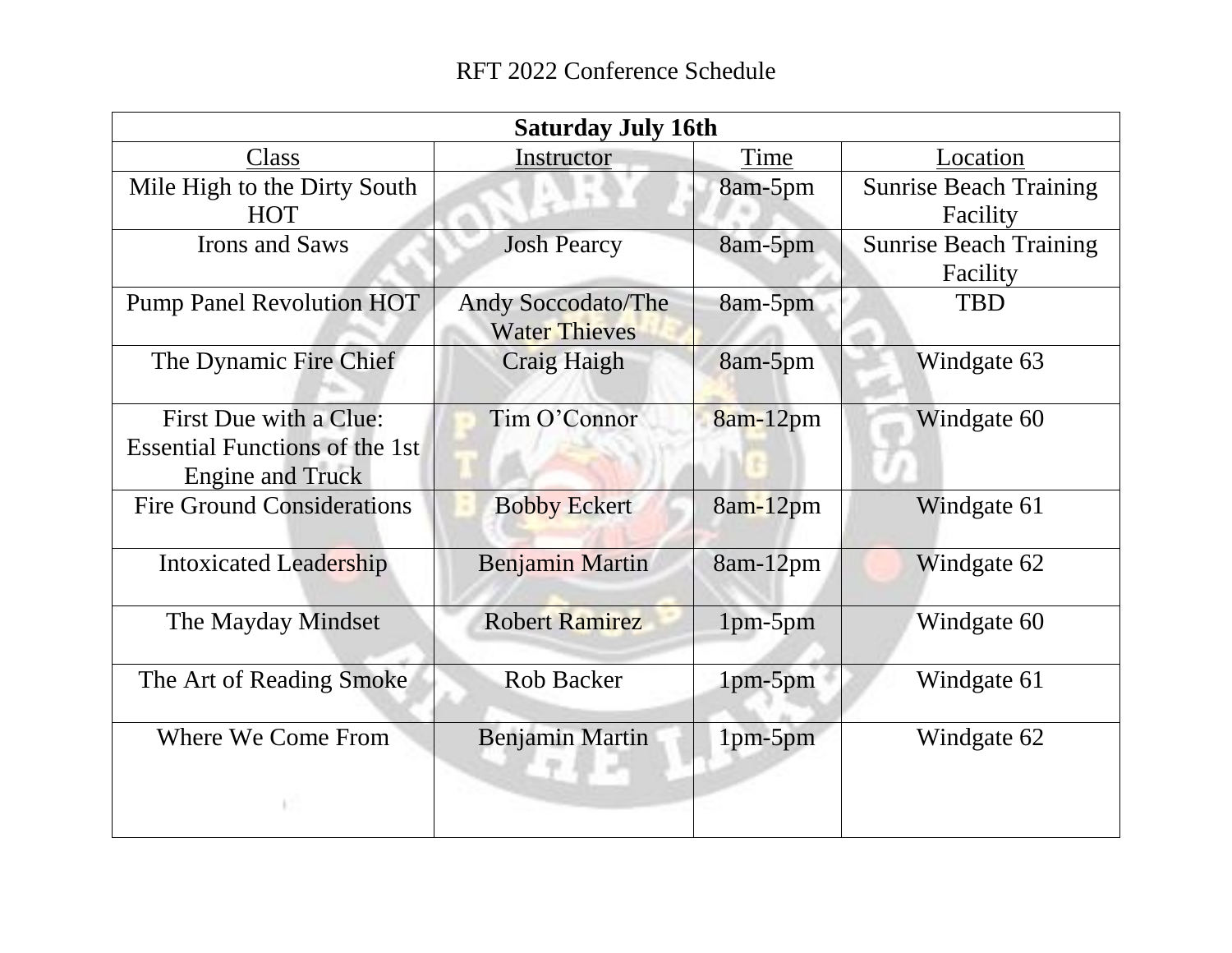| <b>Saturday July 16th</b>                                                                  |                                                   |           |                                           |  |  |
|--------------------------------------------------------------------------------------------|---------------------------------------------------|-----------|-------------------------------------------|--|--|
| Class                                                                                      | Instructor                                        | Time      | Location                                  |  |  |
| Mile High to the Dirty South<br><b>HOT</b>                                                 |                                                   | 8am-5pm   | <b>Sunrise Beach Training</b><br>Facility |  |  |
| <b>Irons and Saws</b>                                                                      | <b>Josh Pearcy</b>                                | 8am-5pm   | <b>Sunrise Beach Training</b><br>Facility |  |  |
| <b>Pump Panel Revolution HOT</b>                                                           | <b>Andy Soccodato/The</b><br><b>Water Thieves</b> | 8am-5pm   | <b>TBD</b>                                |  |  |
| The Dynamic Fire Chief                                                                     | <b>Craig Haigh</b>                                | 8am-5pm   | Windgate 63                               |  |  |
| First Due with a Clue:<br><b>Essential Functions of the 1st</b><br><b>Engine and Truck</b> | Tim O'Connor                                      | 8am-12pm  | Windgate 60                               |  |  |
| <b>Fire Ground Considerations</b>                                                          | <b>Bobby Eckert</b>                               | 8am-12pm  | Windgate 61                               |  |  |
| <b>Intoxicated Leadership</b>                                                              | <b>Benjamin Martin</b>                            | 8am-12pm  | Windgate 62                               |  |  |
| The Mayday Mindset                                                                         | <b>Robert Ramirez</b>                             | 1pm-5pm   | Windgate 60                               |  |  |
| The Art of Reading Smoke                                                                   | <b>Rob Backer</b>                                 | $1pm-5pm$ | Windgate 61                               |  |  |
| <b>Where We Come From</b>                                                                  | <b>Benjamin Martin</b>                            | 1pm-5pm   | Windgate 62                               |  |  |
|                                                                                            |                                                   |           |                                           |  |  |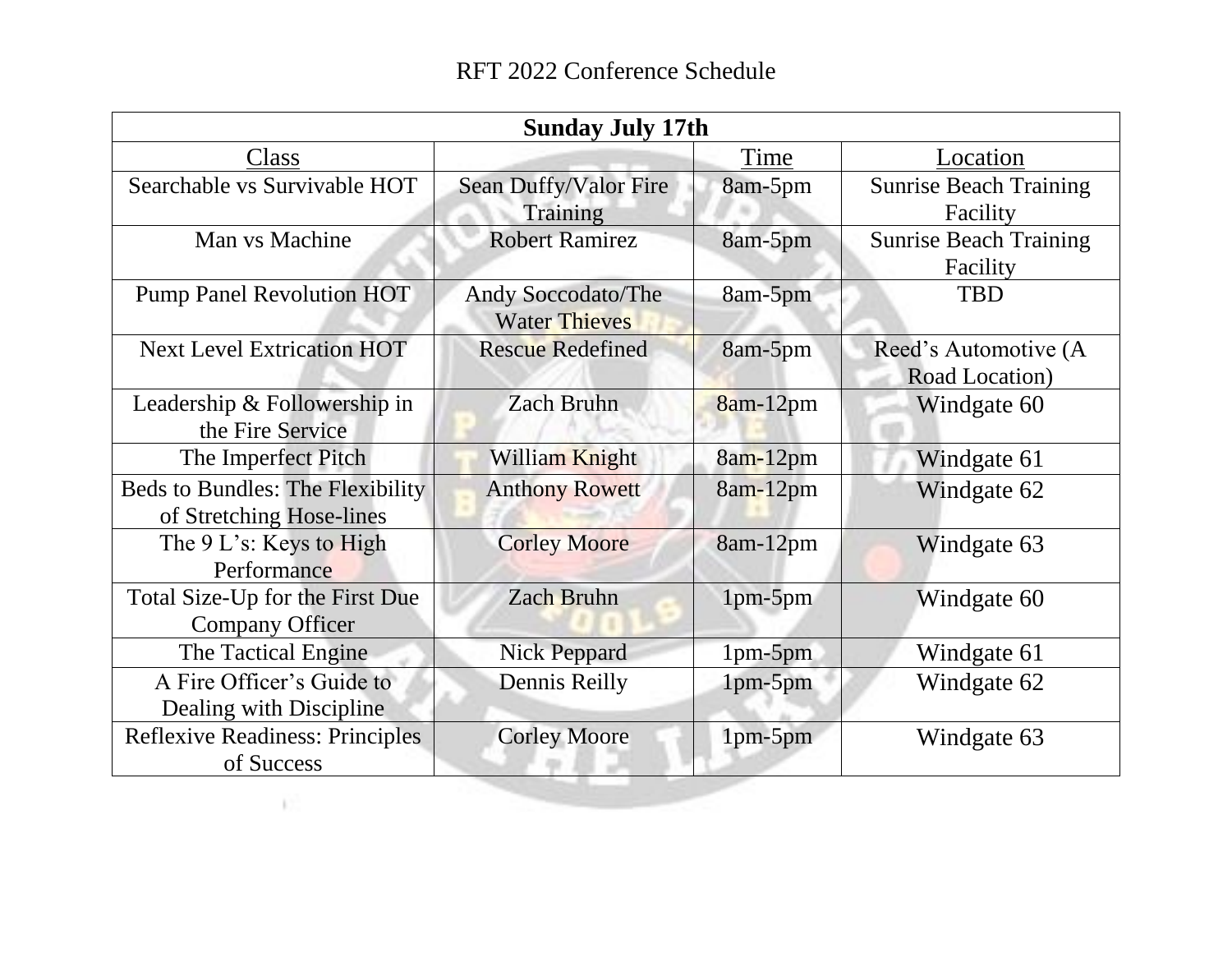| <b>Sunday July 17th</b>                 |                           |            |                               |  |  |
|-----------------------------------------|---------------------------|------------|-------------------------------|--|--|
| Class                                   |                           | Time       | Location                      |  |  |
| Searchable vs Survivable HOT            | Sean Duffy/Valor Fire     | 8am-5pm    | <b>Sunrise Beach Training</b> |  |  |
|                                         | <b>Training</b>           |            | Facility                      |  |  |
| Man vs Machine                          | <b>Robert Ramirez</b>     | 8am-5pm    | <b>Sunrise Beach Training</b> |  |  |
|                                         |                           |            | Facility                      |  |  |
| <b>Pump Panel Revolution HOT</b>        | <b>Andy Soccodato/The</b> | 8am-5pm    | <b>TBD</b>                    |  |  |
|                                         | <b>Water Thieves</b>      |            |                               |  |  |
| <b>Next Level Extrication HOT</b>       | <b>Rescue Redefined</b>   | 8am-5pm    | Reed's Automotive (A          |  |  |
|                                         |                           |            | Road Location)                |  |  |
| Leadership & Followership in            | <b>Zach Bruhn</b>         | $8am-12pm$ | Windgate 60                   |  |  |
| the Fire Service                        |                           |            |                               |  |  |
| The Imperfect Pitch                     | William Knight            | 8am-12pm   | Windgate 61                   |  |  |
| <b>Beds to Bundles: The Flexibility</b> | <b>Anthony Rowett</b>     | 8am-12pm   | Windgate 62                   |  |  |
| of Stretching Hose-lines                |                           |            |                               |  |  |
| The 9 L's: Keys to High                 | <b>Corley Moore</b>       | 8am-12pm   | Windgate 63                   |  |  |
| Performance                             |                           |            |                               |  |  |
| Total Size-Up for the First Due         | <b>Zach Bruhn</b>         | $1pm-5pm$  | Windgate 60                   |  |  |
| <b>Company Officer</b>                  |                           |            |                               |  |  |
| The Tactical Engine                     | <b>Nick Peppard</b>       | $1pm-5pm$  | Windgate 61                   |  |  |
| A Fire Officer's Guide to               | Dennis Reilly             | 1pm-5pm    | Windgate 62                   |  |  |
| Dealing with Discipline                 |                           |            |                               |  |  |
| <b>Reflexive Readiness: Principles</b>  | <b>Corley Moore</b>       | 1pm-5pm    | Windgate 63                   |  |  |
| of Success                              |                           |            |                               |  |  |

小片